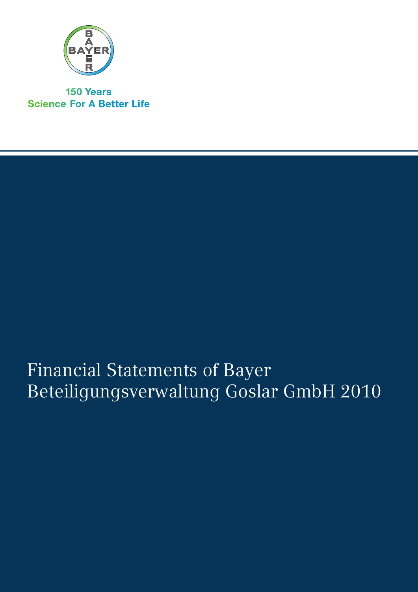

**150 Years Science For A Better Life** 

# Financial Statements of Bayer Beteiligungsverwaltung Goslar GmbH 2010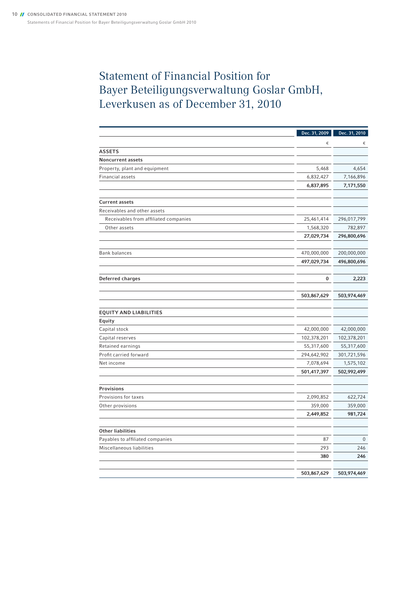## Statement of Financial Position for Bayer Beteiligungsverwaltung Goslar GmbH, Leverkusen as of December 31, 2010

|                                       | Dec. 31, 2009 | Dec. 31, 2010 |
|---------------------------------------|---------------|---------------|
|                                       | €             | €             |
| <b>ASSETS</b>                         |               |               |
| <b>Noncurrent assets</b>              |               |               |
| Property, plant and equipment         | 5,468         | 4,654         |
| Financial assets                      | 6,832,427     | 7,166,896     |
|                                       | 6,837,895     | 7,171,550     |
|                                       |               |               |
| <b>Current assets</b>                 |               |               |
| Receivables and other assets          |               |               |
| Receivables from affiliated companies | 25,461,414    | 296,017,799   |
| Other assets                          | 1,568,320     | 782,897       |
|                                       | 27,029,734    | 296,800,696   |
|                                       |               |               |
| <b>Bank balances</b>                  | 470,000,000   | 200,000,000   |
|                                       | 497,029,734   | 496,800,696   |
|                                       |               |               |
| Deferred charges                      | 0             | 2,223         |
|                                       |               |               |
|                                       | 503,867,629   | 503,974,469   |
|                                       |               |               |
| <b>EQUITY AND LIABILITIES</b>         |               |               |
| Equity                                |               |               |
| Capital stock                         | 42,000,000    | 42,000,000    |
| Capital reserves                      | 102,378,201   | 102,378,201   |
| Retained earnings                     | 55,317,600    | 55,317,600    |
| Profit carried forward                | 294,642,902   | 301,721,596   |
| Net income                            | 7,078,694     | 1,575,102     |
|                                       | 501,417,397   | 502,992,499   |
|                                       |               |               |
| Provisions                            |               |               |
| Provisions for taxes                  | 2,090,852     | 622,724       |
| Other provisions                      | 359,000       | 359,000       |
|                                       | 2,449,852     | 981,724       |
|                                       |               |               |
| <b>Other liabilities</b>              |               |               |
| Payables to affiliated companies      | 87            | 0             |
| Miscellaneous liabilities             | 293           | 246           |
|                                       | 380           | 246           |
|                                       |               |               |
|                                       | 503,867,629   | 503,974,469   |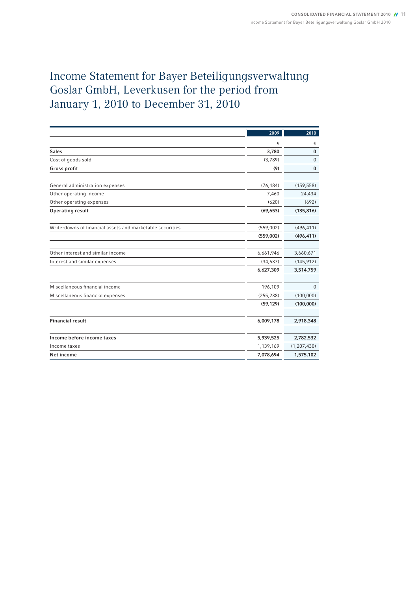## Income Statement for Bayer Beteiligungsverwaltung Goslar GmbH, Leverkusen for the period from January 1, 2010 to December 31, 2010

|                                                           | 2009       | 2010          |
|-----------------------------------------------------------|------------|---------------|
|                                                           | €          | €             |
| <b>Sales</b>                                              | 3,780      | $\mathbf{0}$  |
| Cost of goods sold                                        | (3,789)    | $\mathbf 0$   |
| Gross profit                                              | (9)        | $\mathbf{0}$  |
| General administration expenses                           | (76, 484)  | (159, 558)    |
| Other operating income                                    | 7,460      | 24,434        |
| Other operating expenses                                  | (620)      | (692)         |
| <b>Operating result</b>                                   | (69, 653)  | (135, 816)    |
| Write-downs of financial assets and marketable securities | (559,002)  | (496, 411)    |
|                                                           | (559,002)  | (496, 411)    |
|                                                           |            |               |
| Other interest and similar income                         | 6,661,946  | 3,660,671     |
| Interest and similar expenses                             | (34, 637)  | (145, 912)    |
|                                                           | 6,627,309  | 3,514,759     |
| Miscellaneous financial income                            | 196,109    | $\Omega$      |
| Miscellaneous financial expenses                          | (255, 238) | (100,000)     |
|                                                           | (59, 129)  | (100,000)     |
|                                                           |            |               |
| <b>Financial result</b>                                   | 6,009,178  | 2,918,348     |
|                                                           |            |               |
| Income before income taxes                                | 5,939,525  | 2,782,532     |
| Income taxes                                              | 1,139,169  | (1, 207, 430) |
| Net income                                                | 7,078,694  | 1,575,102     |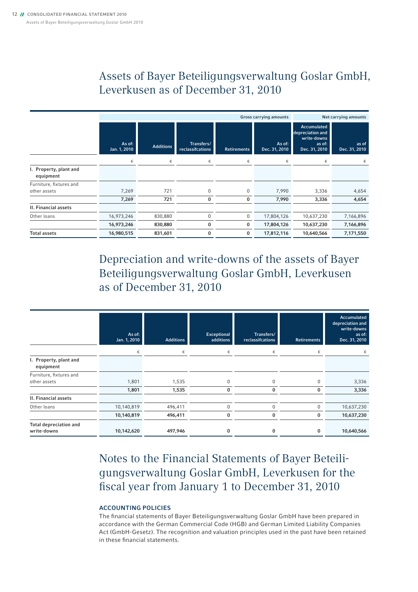### Assets of Bayer Beteiligungsverwaltung Goslar GmbH, Leverkusen as of December 31, 2010

|                                     | <b>Gross carrying amounts</b> |                  |                                |                    |                         | Net carrying amounts                                                             |                        |
|-------------------------------------|-------------------------------|------------------|--------------------------------|--------------------|-------------------------|----------------------------------------------------------------------------------|------------------------|
|                                     | As of:<br>Jan. 1, 2010        | <b>Additions</b> | Transfers/<br>reclassifcations | <b>Retirements</b> | As of:<br>Dec. 31, 2010 | <b>Accumulated</b><br>depreciation and<br>write-downs<br>as of:<br>Dec. 31, 2010 | as of<br>Dec. 31, 2010 |
|                                     | €                             | €                | €                              | €                  | €                       | €                                                                                | €                      |
| I. Property, plant and<br>equipment |                               |                  |                                |                    |                         |                                                                                  |                        |
| Furniture, fixtures and             |                               |                  |                                |                    |                         |                                                                                  |                        |
| other assets                        | 7,269                         | 721              | $\mathbf{0}$                   | 0                  | 7,990                   | 3,336                                                                            | 4,654                  |
|                                     | 7,269                         | 721              | 0                              | 0                  | 7,990                   | 3,336                                                                            | 4,654                  |
| <b>II. Financial assets</b>         |                               |                  |                                |                    |                         |                                                                                  |                        |
| Other loans                         | 16,973,246                    | 830,880          | $\mathbf{0}$                   | 0                  | 17,804,126              | 10,637,230                                                                       | 7,166,896              |
|                                     | 16,973,246                    | 830,880          | 0                              | 0                  | 17,804,126              | 10,637,230                                                                       | 7,166,896              |
| <b>Total assets</b>                 | 16,980,515                    | 831,601          | 0                              | 0                  | 17,812,116              | 10,640,566                                                                       | 7,171,550              |

Depreciation and write-downs of the assets of Bayer Beteiligungsverwaltung Goslar GmbH, Leverkusen as of December 31, 2010

|                                              | As of:<br>Jan. 1, 2010 | <b>Additions</b> | Exceptional<br>additions | Transfers/<br>reclassifcations | <b>Retirements</b> | Accumulated<br>depreciation and<br>write-downs<br>as of:<br>Dec. 31, 2010 |
|----------------------------------------------|------------------------|------------------|--------------------------|--------------------------------|--------------------|---------------------------------------------------------------------------|
|                                              | €                      | €                | €                        | €                              | €                  |                                                                           |
| I. Property, plant and<br>equipment          |                        |                  |                          |                                |                    |                                                                           |
| Furniture, fixtures and                      |                        |                  |                          |                                |                    |                                                                           |
| other assets                                 | 1,801                  | 1,535            | 0                        | 0                              | $\Omega$           | 3,336                                                                     |
|                                              | 1,801                  | 1,535            | 0                        | 0                              | 0                  | 3,336                                                                     |
| <b>II. Financial assets</b>                  |                        |                  |                          |                                |                    |                                                                           |
| Other loans                                  | 10,140,819             | 496,411          | $\Omega$                 | $\Omega$                       | 0                  | 10,637,230                                                                |
|                                              | 10,140,819             | 496,411          | $\bf{0}$                 | 0                              | 0                  | 10,637,230                                                                |
| <b>Total depreciation and</b><br>write-downs | 10,142,620             | 497,946          | 0                        | 0                              | 0                  | 10,640,566                                                                |

Notes to the Financial Statements of Bayer Beteiligungsverwaltung Goslar GmbH, Leverkusen for the fiscal year from January 1 to December 31, 2010

### Accounting Policies

The financial statements of Bayer Beteiligungsverwaltung Goslar GmbH have been prepared in accordance with the German Commercial Code (HGB) and German Limited Liability Companies Act (GmbH-Gesetz). The recognition and valuation principles used in the past have been retained in these financial statements.